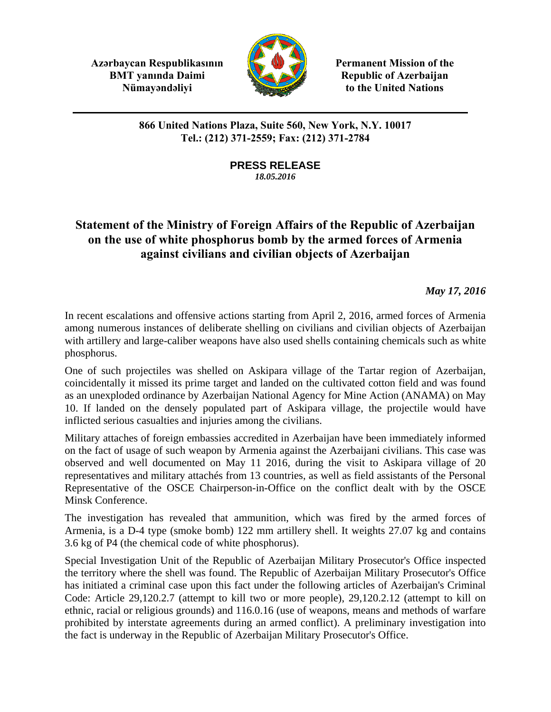**Azərbaycan Respublikasının Permanent Mission of the BMT yanında Daimi Republic of Azerbaijan** 



**Nümayəndəliyi** to the United Nations

## **866 United Nations Plaza, Suite 560, New York, N.Y. 10017 Tel.: (212) 371-2559; Fax: (212) 371-2784**

#### **PRESS RELEASE**  *18.05.2016*

# **Statement of the Ministry of Foreign Affairs of the Republic of Azerbaijan on the use of white phosphorus bomb by the armed forces of Armenia against civilians and civilian objects of Azerbaijan**

# *May 17, 2016*

In recent escalations and offensive actions starting from April 2, 2016, armed forces of Armenia among numerous instances of deliberate shelling on civilians and civilian objects of Azerbaijan with artillery and large-caliber weapons have also used shells containing chemicals such as white phosphorus.

One of such projectiles was shelled on Askipara village of the Tartar region of Azerbaijan, coincidentally it missed its prime target and landed on the cultivated cotton field and was found as an unexploded ordinance by Azerbaijan National Agency for Mine Action (ANAMA) on May 10. If landed on the densely populated part of Askipara village, the projectile would have inflicted serious casualties and injuries among the civilians.

Military attaches of foreign embassies accredited in Azerbaijan have been immediately informed on the fact of usage of such weapon by Armenia against the Azerbaijani civilians. This case was observed and well documented on May 11 2016, during the visit to Askipara village of 20 representatives and military attachés from 13 countries, as well as field assistants of the Personal Representative of the OSCE Chairperson-in-Office on the conflict dealt with by the OSCE Minsk Conference.

The investigation has revealed that ammunition, which was fired by the armed forces of Armenia, is a D-4 type (smoke bomb) 122 mm artillery shell. It weights 27.07 kg and contains 3.6 kg of P4 (the chemical code of white phosphorus).

Special Investigation Unit of the Republic of Azerbaijan Military Prosecutor's Office inspected the territory where the shell was found. The Republic of Azerbaijan Military Prosecutor's Office has initiated a criminal case upon this fact under the following articles of Azerbaijan's Criminal Code: Article 29,120.2.7 (attempt to kill two or more people), 29,120.2.12 (attempt to kill on ethnic, racial or religious grounds) and 116.0.16 (use of weapons, means and methods of warfare prohibited by interstate agreements during an armed conflict). A preliminary investigation into the fact is underway in the Republic of Azerbaijan Military Prosecutor's Office.